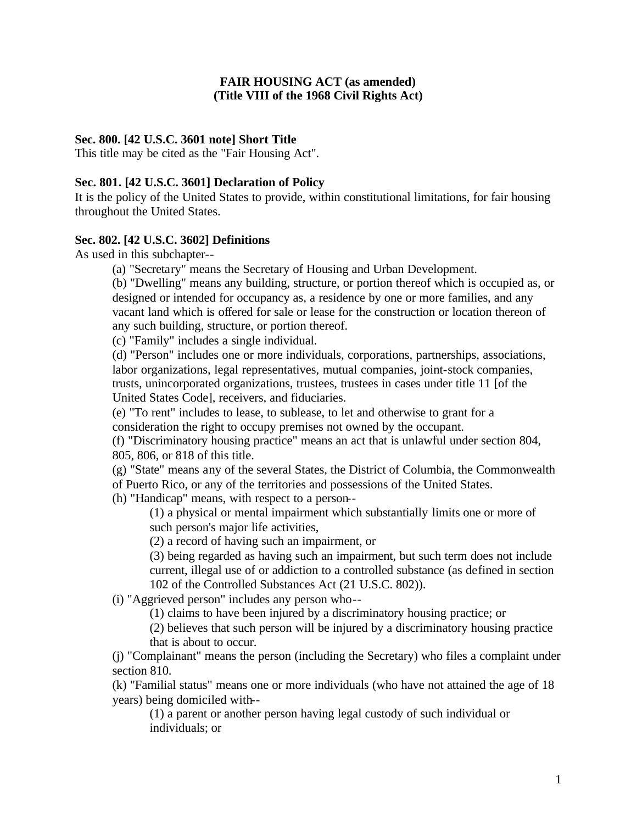### **FAIR HOUSING ACT (as amended) (Title VIII of the 1968 Civil Rights Act)**

## **Sec. 800. [42 U.S.C. 3601 note] Short Title**

This title may be cited as the "Fair Housing Act".

## **Sec. 801. [42 U.S.C. 3601] Declaration of Policy**

It is the policy of the United States to provide, within constitutional limitations, for fair housing throughout the United States.

### **Sec. 802. [42 U.S.C. 3602] Definitions**

As used in this subchapter--

(a) "Secretary" means the Secretary of Housing and Urban Development.

(b) "Dwelling" means any building, structure, or portion thereof which is occupied as, or designed or intended for occupancy as, a residence by one or more families, and any vacant land which is offered for sale or lease for the construction or location thereon of any such building, structure, or portion thereof.

(c) "Family" includes a single individual.

(d) "Person" includes one or more individuals, corporations, partnerships, associations, labor organizations, legal representatives, mutual companies, joint-stock companies, trusts, unincorporated organizations, trustees, trustees in cases under title 11 [of the United States Code], receivers, and fiduciaries.

(e) "To rent" includes to lease, to sublease, to let and otherwise to grant for a consideration the right to occupy premises not owned by the occupant.

(f) "Discriminatory housing practice" means an act that is unlawful under section 804, 805, 806, or 818 of this title.

(g) "State" means any of the several States, the District of Columbia, the Commonwealth of Puerto Rico, or any of the territories and possessions of the United States.

(h) "Handicap" means, with respect to a person--

(1) a physical or mental impairment which substantially limits one or more of such person's major life activities,

(2) a record of having such an impairment, or

(3) being regarded as having such an impairment, but such term does not include current, illegal use of or addiction to a controlled substance (as defined in section 102 of the Controlled Substances Act (21 U.S.C. 802)).

(i) "Aggrieved person" includes any person who--

(1) claims to have been injured by a discriminatory housing practice; or

(2) believes that such person will be injured by a discriminatory housing practice that is about to occur.

(j) "Complainant" means the person (including the Secretary) who files a complaint under section 810.

(k) "Familial status" means one or more individuals (who have not attained the age of 18 years) being domiciled with--

(1) a parent or another person having legal custody of such individual or individuals; or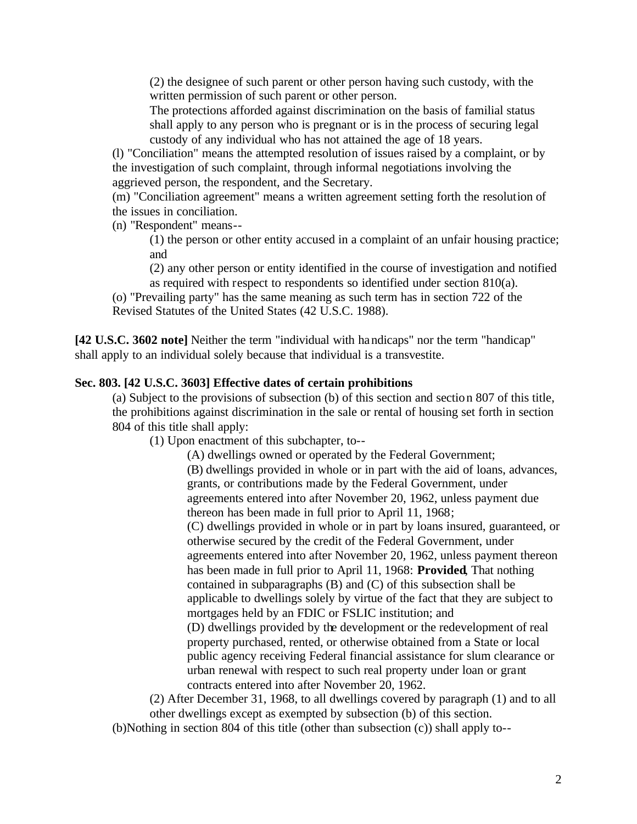(2) the designee of such parent or other person having such custody, with the written permission of such parent or other person.

The protections afforded against discrimination on the basis of familial status shall apply to any person who is pregnant or is in the process of securing legal custody of any individual who has not attained the age of 18 years.

(l) "Conciliation" means the attempted resolution of issues raised by a complaint, or by the investigation of such complaint, through informal negotiations involving the aggrieved person, the respondent, and the Secretary.

(m) "Conciliation agreement" means a written agreement setting forth the resolution of the issues in conciliation.

(n) "Respondent" means--

(1) the person or other entity accused in a complaint of an unfair housing practice; and

(2) any other person or entity identified in the course of investigation and notified as required with respect to respondents so identified under section 810(a).

(o) "Prevailing party" has the same meaning as such term has in section 722 of the Revised Statutes of the United States (42 U.S.C. 1988).

**[42 U.S.C. 3602 note]** Neither the term "individual with handicaps" nor the term "handicap" shall apply to an individual solely because that individual is a transvestite.

## **Sec. 803. [42 U.S.C. 3603] Effective dates of certain prohibitions**

(a) Subject to the provisions of subsection (b) of this section and section 807 of this title, the prohibitions against discrimination in the sale or rental of housing set forth in section 804 of this title shall apply:

(1) Upon enactment of this subchapter, to--

(A) dwellings owned or operated by the Federal Government; (B) dwellings provided in whole or in part with the aid of loans, advances, grants, or contributions made by the Federal Government, under agreements entered into after November 20, 1962, unless payment due thereon has been made in full prior to April 11, 1968; (C) dwellings provided in whole or in part by loans insured, guaranteed, or otherwise secured by the credit of the Federal Government, under agreements entered into after November 20, 1962, unless payment thereon has been made in full prior to April 11, 1968: **Provided**, That nothing contained in subparagraphs (B) and (C) of this subsection shall be applicable to dwellings solely by virtue of the fact that they are subject to mortgages held by an FDIC or FSLIC institution; and (D) dwellings provided by the development or the redevelopment of real property purchased, rented, or otherwise obtained from a State or local public agency receiving Federal financial assistance for slum clearance or urban renewal with respect to such real property under loan or grant contracts entered into after November 20, 1962.

(2) After December 31, 1968, to all dwellings covered by paragraph (1) and to all other dwellings except as exempted by subsection (b) of this section.

(b)Nothing in section 804 of this title (other than subsection (c)) shall apply to--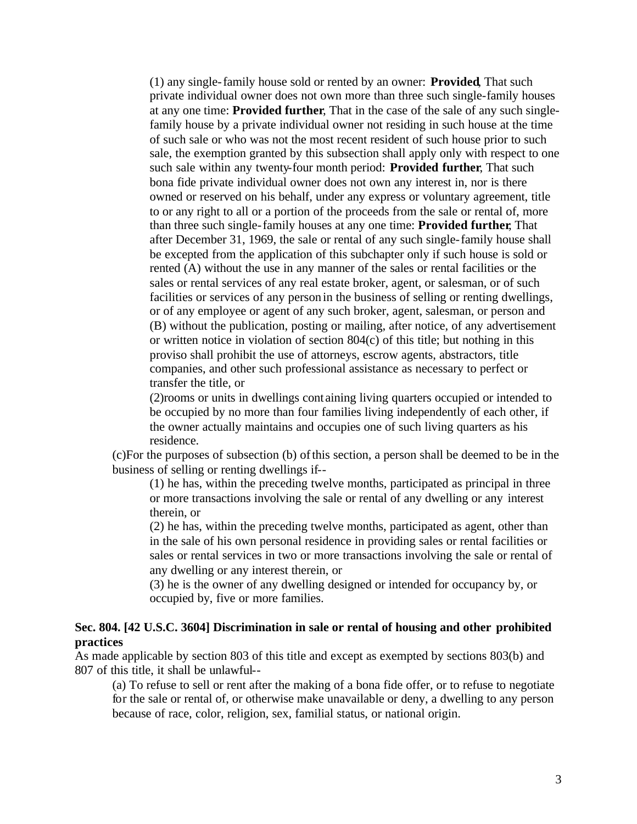(1) any single-family house sold or rented by an owner: **Provided**, That such private individual owner does not own more than three such single-family houses at any one time: **Provided further**, That in the case of the sale of any such singlefamily house by a private individual owner not residing in such house at the time of such sale or who was not the most recent resident of such house prior to such sale, the exemption granted by this subsection shall apply only with respect to one such sale within any twenty-four month period: **Provided further**, That such bona fide private individual owner does not own any interest in, nor is there owned or reserved on his behalf, under any express or voluntary agreement, title to or any right to all or a portion of the proceeds from the sale or rental of, more than three such single-family houses at any one time: **Provided further**, That after December 31, 1969, the sale or rental of any such single-family house shall be excepted from the application of this subchapter only if such house is sold or rented (A) without the use in any manner of the sales or rental facilities or the sales or rental services of any real estate broker, agent, or salesman, or of such facilities or services of any person in the business of selling or renting dwellings, or of any employee or agent of any such broker, agent, salesman, or person and (B) without the publication, posting or mailing, after notice, of any advertisement or written notice in violation of section 804(c) of this title; but nothing in this proviso shall prohibit the use of attorneys, escrow agents, abstractors, title companies, and other such professional assistance as necessary to perfect or transfer the title, or

(2)rooms or units in dwellings cont aining living quarters occupied or intended to be occupied by no more than four families living independently of each other, if the owner actually maintains and occupies one of such living quarters as his residence.

(c)For the purposes of subsection (b) of this section, a person shall be deemed to be in the business of selling or renting dwellings if--

(1) he has, within the preceding twelve months, participated as principal in three or more transactions involving the sale or rental of any dwelling or any interest therein, or

(2) he has, within the preceding twelve months, participated as agent, other than in the sale of his own personal residence in providing sales or rental facilities or sales or rental services in two or more transactions involving the sale or rental of any dwelling or any interest therein, or

(3) he is the owner of any dwelling designed or intended for occupancy by, or occupied by, five or more families.

## **Sec. 804. [42 U.S.C. 3604] Discrimination in sale or rental of housing and other prohibited practices**

As made applicable by section 803 of this title and except as exempted by sections 803(b) and 807 of this title, it shall be unlawful--

(a) To refuse to sell or rent after the making of a bona fide offer, or to refuse to negotiate for the sale or rental of, or otherwise make unavailable or deny, a dwelling to any person because of race, color, religion, sex, familial status, or national origin.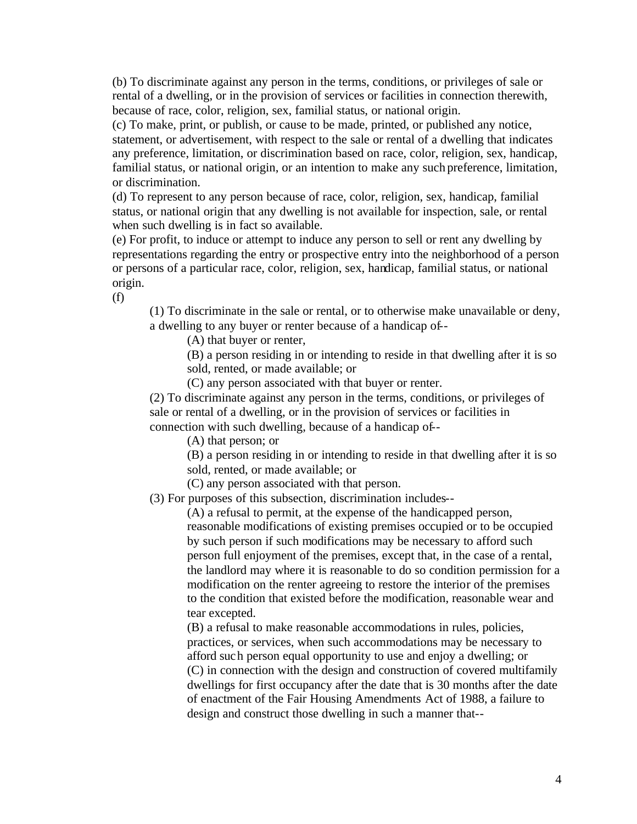(b) To discriminate against any person in the terms, conditions, or privileges of sale or rental of a dwelling, or in the provision of services or facilities in connection therewith, because of race, color, religion, sex, familial status, or national origin.

(c) To make, print, or publish, or cause to be made, printed, or published any notice, statement, or advertisement, with respect to the sale or rental of a dwelling that indicates any preference, limitation, or discrimination based on race, color, religion, sex, handicap, familial status, or national origin, or an intention to make any such preference, limitation, or discrimination.

(d) To represent to any person because of race, color, religion, sex, handicap, familial status, or national origin that any dwelling is not available for inspection, sale, or rental when such dwelling is in fact so available.

(e) For profit, to induce or attempt to induce any person to sell or rent any dwelling by representations regarding the entry or prospective entry into the neighborhood of a person or persons of a particular race, color, religion, sex, handicap, familial status, or national origin.

(f)

(1) To discriminate in the sale or rental, or to otherwise make unavailable or deny, a dwelling to any buyer or renter because of a handicap of--

(A) that buyer or renter,

(B) a person residing in or intending to reside in that dwelling after it is so sold, rented, or made available; or

(C) any person associated with that buyer or renter.

(2) To discriminate against any person in the terms, conditions, or privileges of sale or rental of a dwelling, or in the provision of services or facilities in connection with such dwelling, because of a handicap of--

(A) that person; or

(B) a person residing in or intending to reside in that dwelling after it is so sold, rented, or made available; or

(C) any person associated with that person.

(3) For purposes of this subsection, discrimination includes--

(A) a refusal to permit, at the expense of the handicapped person, reasonable modifications of existing premises occupied or to be occupied by such person if such modifications may be necessary to afford such person full enjoyment of the premises, except that, in the case of a rental, the landlord may where it is reasonable to do so condition permission for a modification on the renter agreeing to restore the interior of the premises to the condition that existed before the modification, reasonable wear and tear excepted.

(B) a refusal to make reasonable accommodations in rules, policies, practices, or services, when such accommodations may be necessary to afford such person equal opportunity to use and enjoy a dwelling; or (C) in connection with the design and construction of covered multifamily dwellings for first occupancy after the date that is 30 months after the date of enactment of the Fair Housing Amendments Act of 1988, a failure to design and construct those dwelling in such a manner that--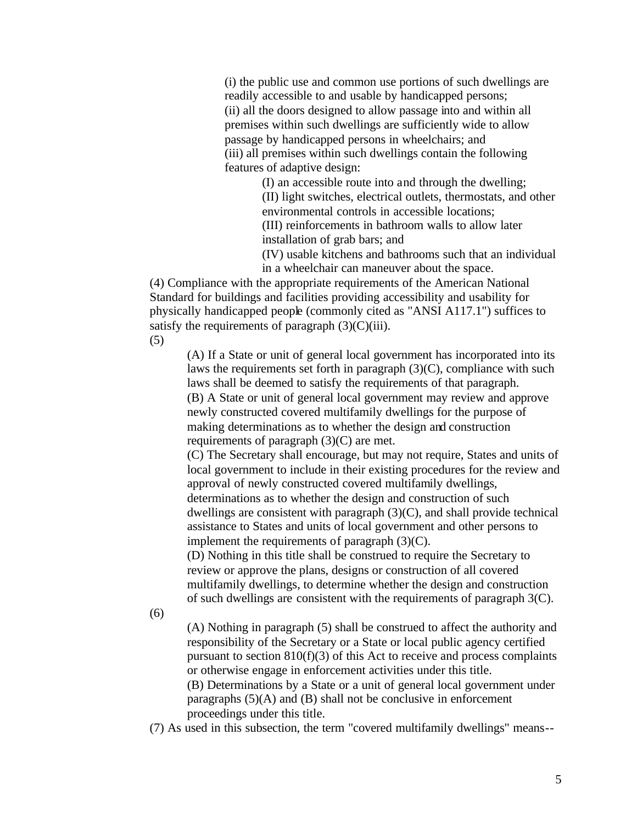(i) the public use and common use portions of such dwellings are readily accessible to and usable by handicapped persons; (ii) all the doors designed to allow passage into and within all premises within such dwellings are sufficiently wide to allow passage by handicapped persons in wheelchairs; and (iii) all premises within such dwellings contain the following features of adaptive design:

> (I) an accessible route into and through the dwelling; (II) light switches, electrical outlets, thermostats, and other environmental controls in accessible locations; (III) reinforcements in bathroom walls to allow later installation of grab bars; and

> (IV) usable kitchens and bathrooms such that an individual in a wheelchair can maneuver about the space.

(4) Compliance with the appropriate requirements of the American National Standard for buildings and facilities providing accessibility and usability for physically handicapped people (commonly cited as "ANSI A117.1") suffices to satisfy the requirements of paragraph  $(3)(C)(iii)$ .

(5)

(A) If a State or unit of general local government has incorporated into its laws the requirements set forth in paragraph (3)(C), compliance with such laws shall be deemed to satisfy the requirements of that paragraph. (B) A State or unit of general local government may review and approve newly constructed covered multifamily dwellings for the purpose of making determinations as to whether the design and construction requirements of paragraph (3)(C) are met.

(C) The Secretary shall encourage, but may not require, States and units of local government to include in their existing procedures for the review and approval of newly constructed covered multifamily dwellings,

determinations as to whether the design and construction of such dwellings are consistent with paragraph  $(3)(C)$ , and shall provide technical assistance to States and units of local government and other persons to implement the requirements of paragraph (3)(C).

(D) Nothing in this title shall be construed to require the Secretary to review or approve the plans, designs or construction of all covered multifamily dwellings, to determine whether the design and construction of such dwellings are consistent with the requirements of paragraph 3(C).

(6)

(A) Nothing in paragraph (5) shall be construed to affect the authority and responsibility of the Secretary or a State or local public agency certified pursuant to section  $810(f)(3)$  of this Act to receive and process complaints or otherwise engage in enforcement activities under this title.

(B) Determinations by a State or a unit of general local government under paragraphs (5)(A) and (B) shall not be conclusive in enforcement proceedings under this title.

(7) As used in this subsection, the term "covered multifamily dwellings" means--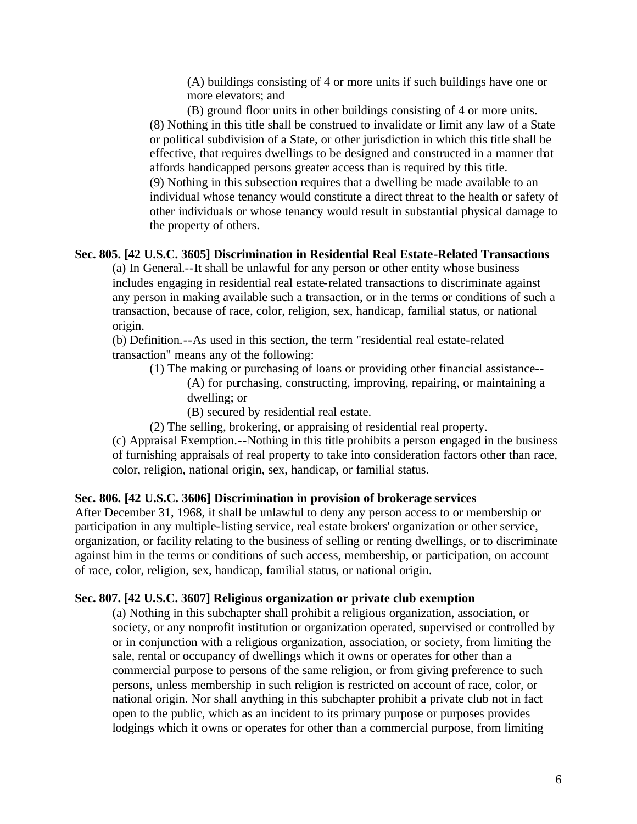(A) buildings consisting of 4 or more units if such buildings have one or more elevators; and

(B) ground floor units in other buildings consisting of 4 or more units. (8) Nothing in this title shall be construed to invalidate or limit any law of a State or political subdivision of a State, or other jurisdiction in which this title shall be effective, that requires dwellings to be designed and constructed in a manner that affords handicapped persons greater access than is required by this title. (9) Nothing in this subsection requires that a dwelling be made available to an individual whose tenancy would constitute a direct threat to the health or safety of other individuals or whose tenancy would result in substantial physical damage to the property of others.

#### **Sec. 805. [42 U.S.C. 3605] Discrimination in Residential Real Estate-Related Transactions**

(a) In General.--It shall be unlawful for any person or other entity whose business includes engaging in residential real estate-related transactions to discriminate against any person in making available such a transaction, or in the terms or conditions of such a transaction, because of race, color, religion, sex, handicap, familial status, or national origin.

(b) Definition.--As used in this section, the term "residential real estate-related transaction" means any of the following:

(1) The making or purchasing of loans or providing other financial assistance--

(A) for purchasing, constructing, improving, repairing, or maintaining a dwelling; or

(B) secured by residential real estate.

(2) The selling, brokering, or appraising of residential real property.

(c) Appraisal Exemption.--Nothing in this title prohibits a person engaged in the business of furnishing appraisals of real property to take into consideration factors other than race, color, religion, national origin, sex, handicap, or familial status.

#### **Sec. 806. [42 U.S.C. 3606] Discrimination in provision of brokerage services**

After December 31, 1968, it shall be unlawful to deny any person access to or membership or participation in any multiple-listing service, real estate brokers' organization or other service, organization, or facility relating to the business of selling or renting dwellings, or to discriminate against him in the terms or conditions of such access, membership, or participation, on account of race, color, religion, sex, handicap, familial status, or national origin.

#### **Sec. 807. [42 U.S.C. 3607] Religious organization or private club exemption**

(a) Nothing in this subchapter shall prohibit a religious organization, association, or society, or any nonprofit institution or organization operated, supervised or controlled by or in conjunction with a religious organization, association, or society, from limiting the sale, rental or occupancy of dwellings which it owns or operates for other than a commercial purpose to persons of the same religion, or from giving preference to such persons, unless membership in such religion is restricted on account of race, color, or national origin. Nor shall anything in this subchapter prohibit a private club not in fact open to the public, which as an incident to its primary purpose or purposes provides lodgings which it owns or operates for other than a commercial purpose, from limiting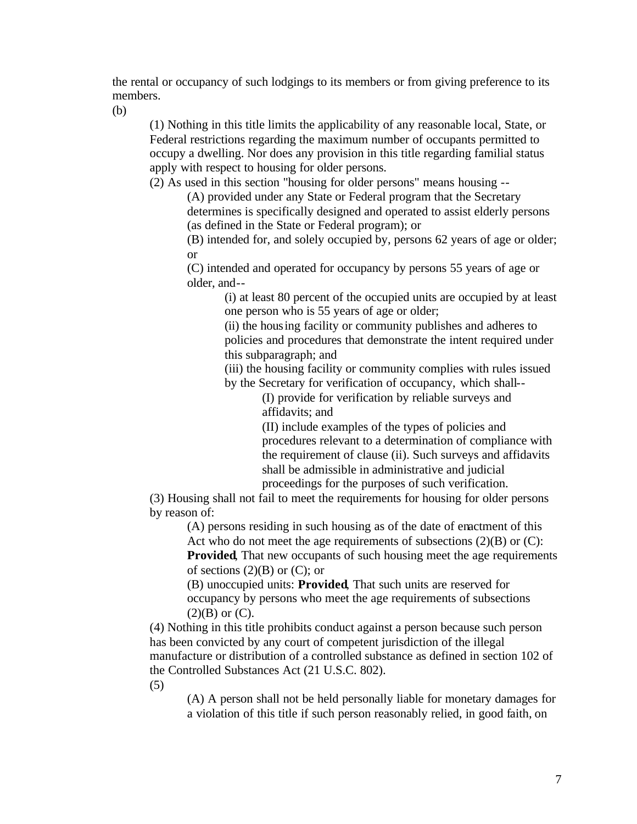the rental or occupancy of such lodgings to its members or from giving preference to its members.

(b)

(1) Nothing in this title limits the applicability of any reasonable local, State, or Federal restrictions regarding the maximum number of occupants permitted to occupy a dwelling. Nor does any provision in this title regarding familial status apply with respect to housing for older persons.

(2) As used in this section "housing for older persons" means housing --

(A) provided under any State or Federal program that the Secretary determines is specifically designed and operated to assist elderly persons (as defined in the State or Federal program); or

(B) intended for, and solely occupied by, persons 62 years of age or older; or

(C) intended and operated for occupancy by persons 55 years of age or older, and--

> (i) at least 80 percent of the occupied units are occupied by at least one person who is 55 years of age or older;

> (ii) the housing facility or community publishes and adheres to policies and procedures that demonstrate the intent required under this subparagraph; and

(iii) the housing facility or community complies with rules issued by the Secretary for verification of occupancy, which shall--

(I) provide for verification by reliable surveys and affidavits; and

(II) include examples of the types of policies and procedures relevant to a determination of compliance with the requirement of clause (ii). Such surveys and affidavits shall be admissible in administrative and judicial proceedings for the purposes of such verification.

(3) Housing shall not fail to meet the requirements for housing for older persons by reason of:

(A) persons residing in such housing as of the date of enactment of this Act who do not meet the age requirements of subsections  $(2)(B)$  or  $(C)$ : **Provided**, That new occupants of such housing meet the age requirements of sections  $(2)(B)$  or  $(C)$ ; or

(B) unoccupied units: **Provided**, That such units are reserved for occupancy by persons who meet the age requirements of subsections  $(2)(B)$  or  $(C)$ .

(4) Nothing in this title prohibits conduct against a person because such person has been convicted by any court of competent jurisdiction of the illegal manufacture or distribution of a controlled substance as defined in section 102 of the Controlled Substances Act (21 U.S.C. 802).

(5)

(A) A person shall not be held personally liable for monetary damages for a violation of this title if such person reasonably relied, in good faith, on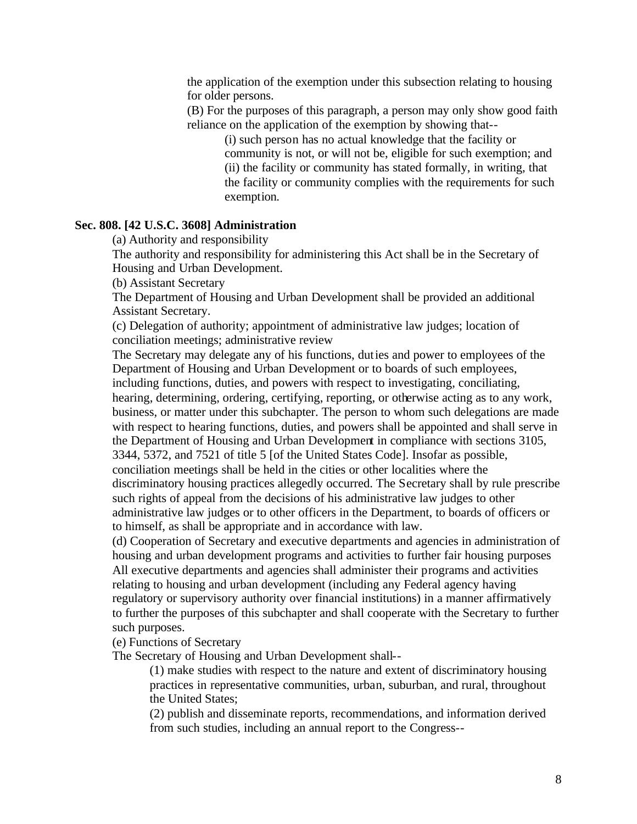the application of the exemption under this subsection relating to housing for older persons.

(B) For the purposes of this paragraph, a person may only show good faith reliance on the application of the exemption by showing that--

(i) such person has no actual knowledge that the facility or community is not, or will not be, eligible for such exemption; and (ii) the facility or community has stated formally, in writing, that the facility or community complies with the requirements for such exemption.

### **Sec. 808. [42 U.S.C. 3608] Administration**

(a) Authority and responsibility

The authority and responsibility for administering this Act shall be in the Secretary of Housing and Urban Development.

(b) Assistant Secretary

The Department of Housing and Urban Development shall be provided an additional Assistant Secretary.

(c) Delegation of authority; appointment of administrative law judges; location of conciliation meetings; administrative review

The Secretary may delegate any of his functions, duties and power to employees of the Department of Housing and Urban Development or to boards of such employees, including functions, duties, and powers with respect to investigating, conciliating, hearing, determining, ordering, certifying, reporting, or otherwise acting as to any work, business, or matter under this subchapter. The person to whom such delegations are made with respect to hearing functions, duties, and powers shall be appointed and shall serve in the Department of Housing and Urban Development in compliance with sections 3105, 3344, 5372, and 7521 of title 5 [of the United States Code]. Insofar as possible, conciliation meetings shall be held in the cities or other localities where the discriminatory housing practices allegedly occurred. The Secretary shall by rule prescribe such rights of appeal from the decisions of his administrative law judges to other administrative law judges or to other officers in the Department, to boards of officers or to himself, as shall be appropriate and in accordance with law.

(d) Cooperation of Secretary and executive departments and agencies in administration of housing and urban development programs and activities to further fair housing purposes All executive departments and agencies shall administer their programs and activities relating to housing and urban development (including any Federal agency having regulatory or supervisory authority over financial institutions) in a manner affirmatively to further the purposes of this subchapter and shall cooperate with the Secretary to further such purposes.

(e) Functions of Secretary

The Secretary of Housing and Urban Development shall--

(1) make studies with respect to the nature and extent of discriminatory housing practices in representative communities, urban, suburban, and rural, throughout the United States;

(2) publish and disseminate reports, recommendations, and information derived from such studies, including an annual report to the Congress--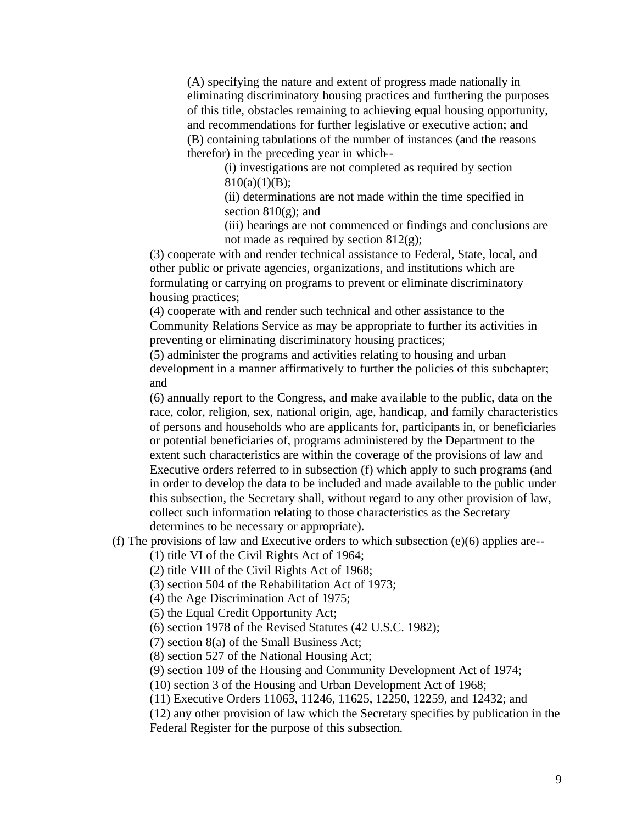(A) specifying the nature and extent of progress made nationally in eliminating discriminatory housing practices and furthering the purposes of this title, obstacles remaining to achieving equal housing opportunity, and recommendations for further legislative or executive action; and (B) containing tabulations of the number of instances (and the reasons therefor) in the preceding year in which--

(i) investigations are not completed as required by section  $810(a)(1)(B);$ 

(ii) determinations are not made within the time specified in section  $810(g)$ ; and

(iii) hearings are not commenced or findings and conclusions are not made as required by section 812(g);

(3) cooperate with and render technical assistance to Federal, State, local, and other public or private agencies, organizations, and institutions which are formulating or carrying on programs to prevent or eliminate discriminatory housing practices;

(4) cooperate with and render such technical and other assistance to the Community Relations Service as may be appropriate to further its activities in preventing or eliminating discriminatory housing practices;

(5) administer the programs and activities relating to housing and urban development in a manner affirmatively to further the policies of this subchapter; and

(6) annually report to the Congress, and make ava ilable to the public, data on the race, color, religion, sex, national origin, age, handicap, and family characteristics of persons and households who are applicants for, participants in, or beneficiaries or potential beneficiaries of, programs administered by the Department to the extent such characteristics are within the coverage of the provisions of law and Executive orders referred to in subsection (f) which apply to such programs (and in order to develop the data to be included and made available to the public under this subsection, the Secretary shall, without regard to any other provision of law, collect such information relating to those characteristics as the Secretary determines to be necessary or appropriate).

(f) The provisions of law and Executive orders to which subsection (e)(6) applies are--

(1) title VI of the Civil Rights Act of 1964;

(2) title VIII of the Civil Rights Act of 1968;

(3) section 504 of the Rehabilitation Act of 1973;

(4) the Age Discrimination Act of 1975;

(5) the Equal Credit Opportunity Act;

(6) section 1978 of the Revised Statutes (42 U.S.C. 1982);

(7) section 8(a) of the Small Business Act;

(8) section 527 of the National Housing Act;

(9) section 109 of the Housing and Community Development Act of 1974;

(10) section 3 of the Housing and Urban Development Act of 1968;

(11) Executive Orders 11063, 11246, 11625, 12250, 12259, and 12432; and

(12) any other provision of law which the Secretary specifies by publication in the Federal Register for the purpose of this subsection.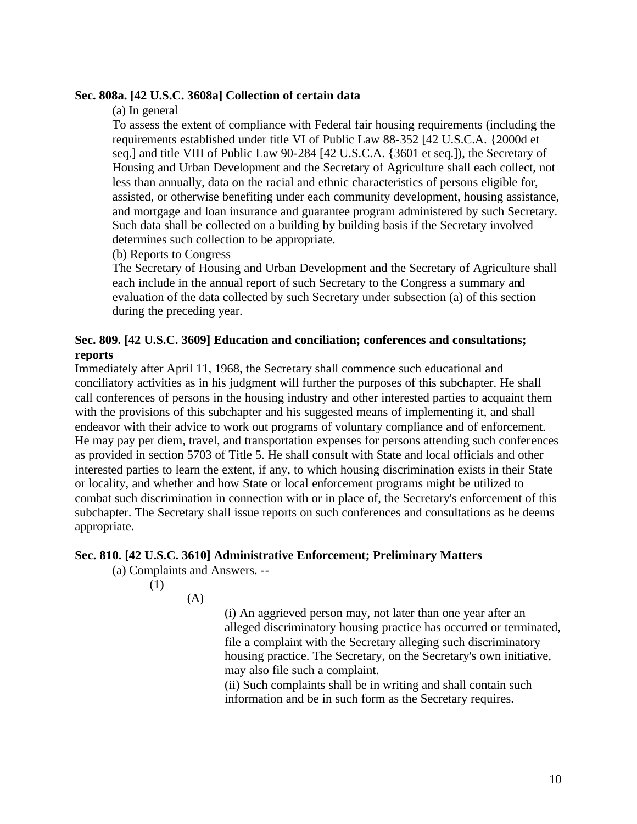#### **Sec. 808a. [42 U.S.C. 3608a] Collection of certain data**

#### (a) In general

To assess the extent of compliance with Federal fair housing requirements (including the requirements established under title VI of Public Law 88-352 [42 U.S.C.A. {2000d et seq.] and title VIII of Public Law 90-284 [42 U.S.C.A. {3601 et seq.]), the Secretary of Housing and Urban Development and the Secretary of Agriculture shall each collect, not less than annually, data on the racial and ethnic characteristics of persons eligible for, assisted, or otherwise benefiting under each community development, housing assistance, and mortgage and loan insurance and guarantee program administered by such Secretary. Such data shall be collected on a building by building basis if the Secretary involved determines such collection to be appropriate.

(b) Reports to Congress

The Secretary of Housing and Urban Development and the Secretary of Agriculture shall each include in the annual report of such Secretary to the Congress a summary and evaluation of the data collected by such Secretary under subsection (a) of this section during the preceding year.

## **Sec. 809. [42 U.S.C. 3609] Education and conciliation; conferences and consultations; reports**

Immediately after April 11, 1968, the Secretary shall commence such educational and conciliatory activities as in his judgment will further the purposes of this subchapter. He shall call conferences of persons in the housing industry and other interested parties to acquaint them with the provisions of this subchapter and his suggested means of implementing it, and shall endeavor with their advice to work out programs of voluntary compliance and of enforcement. He may pay per diem, travel, and transportation expenses for persons attending such conferences as provided in section 5703 of Title 5. He shall consult with State and local officials and other interested parties to learn the extent, if any, to which housing discrimination exists in their State or locality, and whether and how State or local enforcement programs might be utilized to combat such discrimination in connection with or in place of, the Secretary's enforcement of this subchapter. The Secretary shall issue reports on such conferences and consultations as he deems appropriate.

### **Sec. 810. [42 U.S.C. 3610] Administrative Enforcement; Preliminary Matters**

(a) Complaints and Answers. --

(1)

(A)

(i) An aggrieved person may, not later than one year after an alleged discriminatory housing practice has occurred or terminated, file a complaint with the Secretary alleging such discriminatory housing practice. The Secretary, on the Secretary's own initiative, may also file such a complaint.

(ii) Such complaints shall be in writing and shall contain such information and be in such form as the Secretary requires.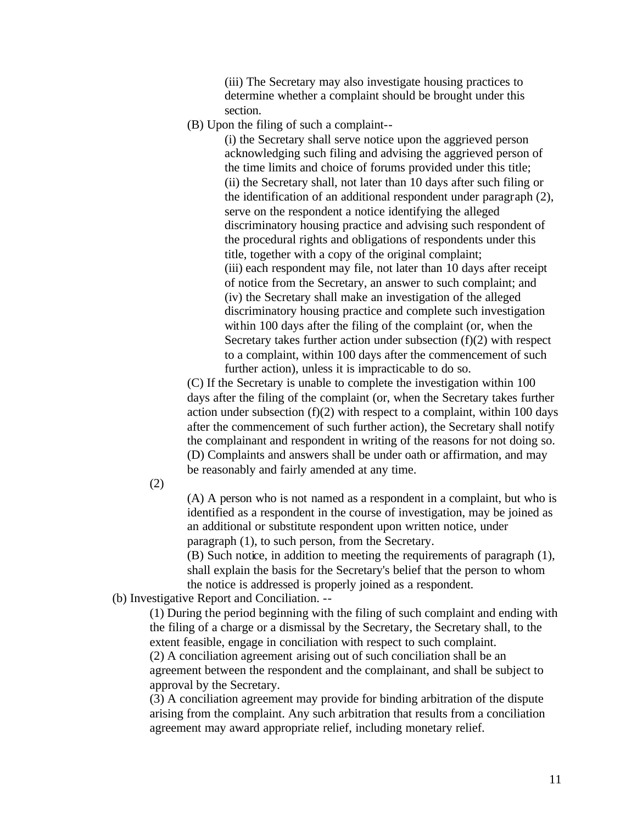(iii) The Secretary may also investigate housing practices to determine whether a complaint should be brought under this section.

(B) Upon the filing of such a complaint--

(i) the Secretary shall serve notice upon the aggrieved person acknowledging such filing and advising the aggrieved person of the time limits and choice of forums provided under this title; (ii) the Secretary shall, not later than 10 days after such filing or the identification of an additional respondent under paragraph (2), serve on the respondent a notice identifying the alleged discriminatory housing practice and advising such respondent of the procedural rights and obligations of respondents under this title, together with a copy of the original complaint; (iii) each respondent may file, not later than 10 days after receipt of notice from the Secretary, an answer to such complaint; and (iv) the Secretary shall make an investigation of the alleged discriminatory housing practice and complete such investigation within 100 days after the filing of the complaint (or, when the Secretary takes further action under subsection (f)(2) with respect to a complaint, within 100 days after the commencement of such further action), unless it is impracticable to do so.

(C) If the Secretary is unable to complete the investigation within 100 days after the filing of the complaint (or, when the Secretary takes further action under subsection  $(f)(2)$  with respect to a complaint, within 100 days after the commencement of such further action), the Secretary shall notify the complainant and respondent in writing of the reasons for not doing so. (D) Complaints and answers shall be under oath or affirmation, and may be reasonably and fairly amended at any time.

(2)

(A) A person who is not named as a respondent in a complaint, but who is identified as a respondent in the course of investigation, may be joined as an additional or substitute respondent upon written notice, under paragraph (1), to such person, from the Secretary.

(B) Such notice, in addition to meeting the requirements of paragraph (1), shall explain the basis for the Secretary's belief that the person to whom the notice is addressed is properly joined as a respondent.

#### (b) Investigative Report and Conciliation. --

(1) During the period beginning with the filing of such complaint and ending with the filing of a charge or a dismissal by the Secretary, the Secretary shall, to the extent feasible, engage in conciliation with respect to such complaint. (2) A conciliation agreement arising out of such conciliation shall be an

agreement between the respondent and the complainant, and shall be subject to approval by the Secretary.

(3) A conciliation agreement may provide for binding arbitration of the dispute arising from the complaint. Any such arbitration that results from a conciliation agreement may award appropriate relief, including monetary relief.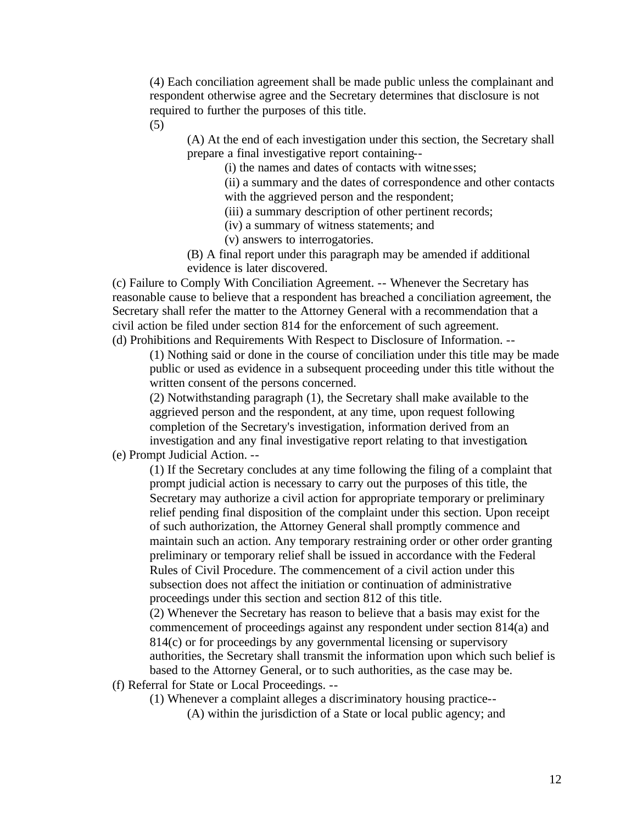(4) Each conciliation agreement shall be made public unless the complainant and respondent otherwise agree and the Secretary determines that disclosure is not required to further the purposes of this title.

(5)

(A) At the end of each investigation under this section, the Secretary shall prepare a final investigative report containing--

(i) the names and dates of contacts with witne sses;

(ii) a summary and the dates of correspondence and other contacts with the aggrieved person and the respondent;

(iii) a summary description of other pertinent records;

(iv) a summary of witness statements; and

(v) answers to interrogatories.

(B) A final report under this paragraph may be amended if additional evidence is later discovered.

(c) Failure to Comply With Conciliation Agreement. -- Whenever the Secretary has reasonable cause to believe that a respondent has breached a conciliation agreement, the Secretary shall refer the matter to the Attorney General with a recommendation that a civil action be filed under section 814 for the enforcement of such agreement. (d) Prohibitions and Requirements With Respect to Disclosure of Information. --

(1) Nothing said or done in the course of conciliation under this title may be made public or used as evidence in a subsequent proceeding under this title without the written consent of the persons concerned.

(2) Notwithstanding paragraph (1), the Secretary shall make available to the aggrieved person and the respondent, at any time, upon request following completion of the Secretary's investigation, information derived from an investigation and any final investigative report relating to that investigation.

(e) Prompt Judicial Action. --

(1) If the Secretary concludes at any time following the filing of a complaint that prompt judicial action is necessary to carry out the purposes of this title, the Secretary may authorize a civil action for appropriate temporary or preliminary relief pending final disposition of the complaint under this section. Upon receipt of such authorization, the Attorney General shall promptly commence and maintain such an action. Any temporary restraining order or other order granting preliminary or temporary relief shall be issued in accordance with the Federal Rules of Civil Procedure. The commencement of a civil action under this subsection does not affect the initiation or continuation of administrative proceedings under this section and section 812 of this title.

(2) Whenever the Secretary has reason to believe that a basis may exist for the commencement of proceedings against any respondent under section 814(a) and 814(c) or for proceedings by any governmental licensing or supervisory authorities, the Secretary shall transmit the information upon which such belief is based to the Attorney General, or to such authorities, as the case may be.

(f) Referral for State or Local Proceedings. --

(1) Whenever a complaint alleges a discriminatory housing practice--

(A) within the jurisdiction of a State or local public agency; and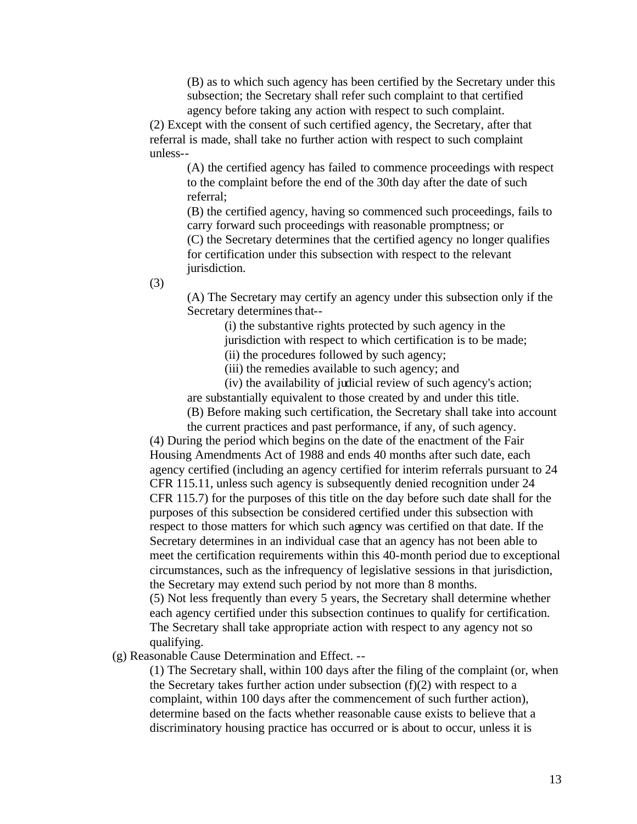(B) as to which such agency has been certified by the Secretary under this subsection; the Secretary shall refer such complaint to that certified agency before taking any action with respect to such complaint.

(2) Except with the consent of such certified agency, the Secretary, after that referral is made, shall take no further action with respect to such complaint unless--

(A) the certified agency has failed to commence proceedings with respect to the complaint before the end of the 30th day after the date of such referral;

(B) the certified agency, having so commenced such proceedings, fails to carry forward such proceedings with reasonable promptness; or (C) the Secretary determines that the certified agency no longer qualifies for certification under this subsection with respect to the relevant jurisdiction.

(3)

(A) The Secretary may certify an agency under this subsection only if the Secretary determines that--

(i) the substantive rights protected by such agency in the

jurisdiction with respect to which certification is to be made;

(ii) the procedures followed by such agency;

(iii) the remedies available to such agency; and

(iv) the availability of judicial review of such agency's action;

are substantially equivalent to those created by and under this title.

(B) Before making such certification, the Secretary shall take into account

the current practices and past performance, if any, of such agency. (4) During the period which begins on the date of the enactment of the Fair Housing Amendments Act of 1988 and ends 40 months after such date, each agency certified (including an agency certified for interim referrals pursuant to 24 CFR 115.11, unless such agency is subsequently denied recognition under 24 CFR 115.7) for the purposes of this title on the day before such date shall for the purposes of this subsection be considered certified under this subsection with respect to those matters for which such agency was certified on that date. If the Secretary determines in an individual case that an agency has not been able to meet the certification requirements within this 40-month period due to exceptional circumstances, such as the infrequency of legislative sessions in that jurisdiction, the Secretary may extend such period by not more than 8 months.

(5) Not less frequently than every 5 years, the Secretary shall determine whether each agency certified under this subsection continues to qualify for certification. The Secretary shall take appropriate action with respect to any agency not so qualifying.

(g) Reasonable Cause Determination and Effect. --

(1) The Secretary shall, within 100 days after the filing of the complaint (or, when the Secretary takes further action under subsection  $(f)(2)$  with respect to a complaint, within 100 days after the commencement of such further action), determine based on the facts whether reasonable cause exists to believe that a discriminatory housing practice has occurred or is about to occur, unless it is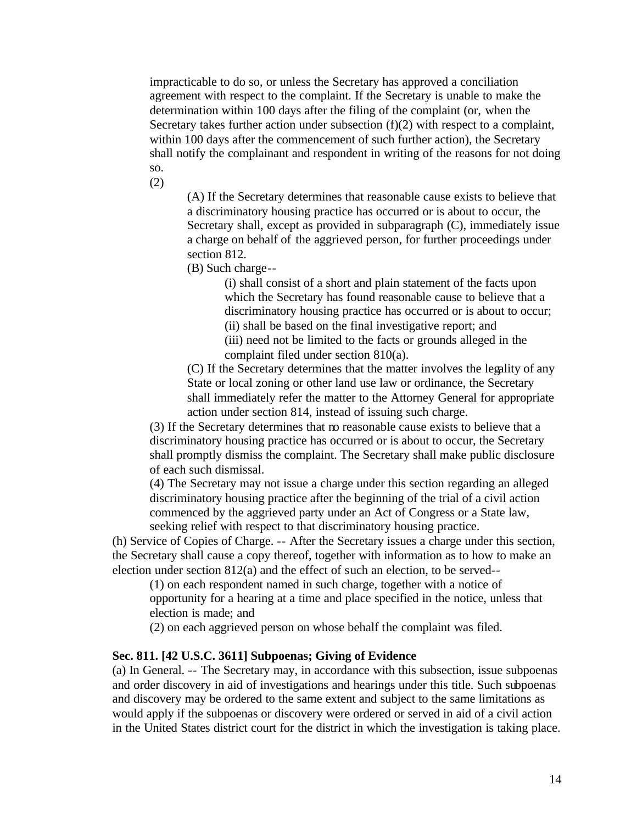impracticable to do so, or unless the Secretary has approved a conciliation agreement with respect to the complaint. If the Secretary is unable to make the determination within 100 days after the filing of the complaint (or, when the Secretary takes further action under subsection (f)(2) with respect to a complaint, within 100 days after the commencement of such further action), the Secretary shall notify the complainant and respondent in writing of the reasons for not doing so.

(2)

(A) If the Secretary determines that reasonable cause exists to believe that a discriminatory housing practice has occurred or is about to occur, the Secretary shall, except as provided in subparagraph (C), immediately issue a charge on behalf of the aggrieved person, for further proceedings under section 812.

(B) Such charge--

(i) shall consist of a short and plain statement of the facts upon which the Secretary has found reasonable cause to believe that a discriminatory housing practice has occurred or is about to occur;

(ii) shall be based on the final investigative report; and

(iii) need not be limited to the facts or grounds alleged in the complaint filed under section 810(a).

(C) If the Secretary determines that the matter involves the legality of any State or local zoning or other land use law or ordinance, the Secretary shall immediately refer the matter to the Attorney General for appropriate action under section 814, instead of issuing such charge.

(3) If the Secretary determines that no reasonable cause exists to believe that a discriminatory housing practice has occurred or is about to occur, the Secretary shall promptly dismiss the complaint. The Secretary shall make public disclosure of each such dismissal.

(4) The Secretary may not issue a charge under this section regarding an alleged discriminatory housing practice after the beginning of the trial of a civil action commenced by the aggrieved party under an Act of Congress or a State law, seeking relief with respect to that discriminatory housing practice.

(h) Service of Copies of Charge. -- After the Secretary issues a charge under this section, the Secretary shall cause a copy thereof, together with information as to how to make an election under section 812(a) and the effect of such an election, to be served--

(1) on each respondent named in such charge, together with a notice of

opportunity for a hearing at a time and place specified in the notice, unless that election is made; and

(2) on each aggrieved person on whose behalf the complaint was filed.

#### **Sec. 811. [42 U.S.C. 3611] Subpoenas; Giving of Evidence**

(a) In General. -- The Secretary may, in accordance with this subsection, issue subpoenas and order discovery in aid of investigations and hearings under this title. Such subpoenas and discovery may be ordered to the same extent and subject to the same limitations as would apply if the subpoenas or discovery were ordered or served in aid of a civil action in the United States district court for the district in which the investigation is taking place.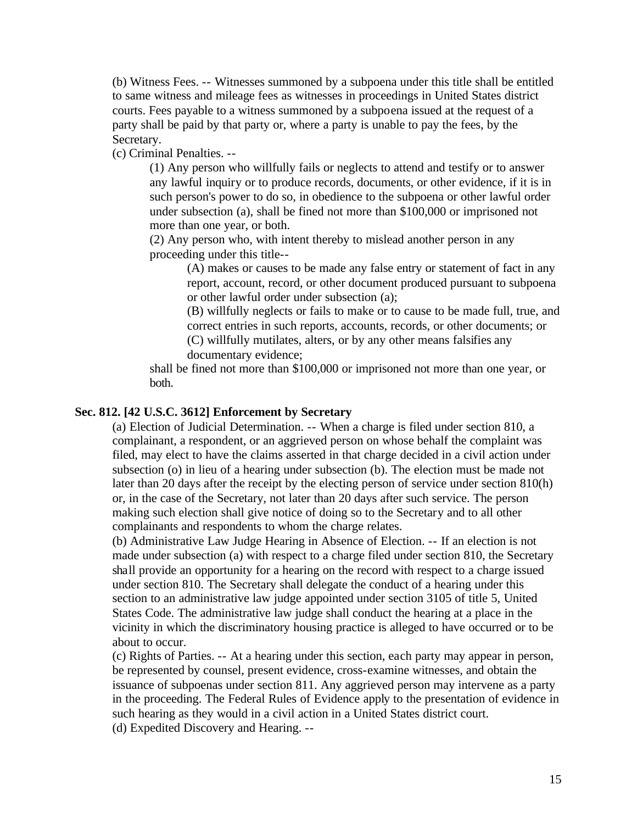(b) Witness Fees. -- Witnesses summoned by a subpoena under this title shall be entitled to same witness and mileage fees as witnesses in proceedings in United States district courts. Fees payable to a witness summoned by a subpoena issued at the request of a party shall be paid by that party or, where a party is unable to pay the fees, by the Secretary.

(c) Criminal Penalties. --

(1) Any person who willfully fails or neglects to attend and testify or to answer any lawful inquiry or to produce records, documents, or other evidence, if it is in such person's power to do so, in obedience to the subpoena or other lawful order under subsection (a), shall be fined not more than \$100,000 or imprisoned not more than one year, or both.

(2) Any person who, with intent thereby to mislead another person in any proceeding under this title--

> (A) makes or causes to be made any false entry or statement of fact in any report, account, record, or other document produced pursuant to subpoena or other lawful order under subsection (a);

> (B) willfully neglects or fails to make or to cause to be made full, true, and correct entries in such reports, accounts, records, or other documents; or (C) willfully mutilates, alters, or by any other means falsifies any documentary evidence;

shall be fined not more than \$100,000 or imprisoned not more than one year, or both.

### **Sec. 812. [42 U.S.C. 3612] Enforcement by Secretary**

(a) Election of Judicial Determination. -- When a charge is filed under section 810, a complainant, a respondent, or an aggrieved person on whose behalf the complaint was filed, may elect to have the claims asserted in that charge decided in a civil action under subsection (o) in lieu of a hearing under subsection (b). The election must be made not later than 20 days after the receipt by the electing person of service under section 810(h) or, in the case of the Secretary, not later than 20 days after such service. The person making such election shall give notice of doing so to the Secretary and to all other complainants and respondents to whom the charge relates.

(b) Administrative Law Judge Hearing in Absence of Election. -- If an election is not made under subsection (a) with respect to a charge filed under section 810, the Secretary shall provide an opportunity for a hearing on the record with respect to a charge issued under section 810. The Secretary shall delegate the conduct of a hearing under this section to an administrative law judge appointed under section 3105 of title 5, United States Code. The administrative law judge shall conduct the hearing at a place in the vicinity in which the discriminatory housing practice is alleged to have occurred or to be about to occur.

(c) Rights of Parties. -- At a hearing under this section, each party may appear in person, be represented by counsel, present evidence, cross-examine witnesses, and obtain the issuance of subpoenas under section 811. Any aggrieved person may intervene as a party in the proceeding. The Federal Rules of Evidence apply to the presentation of evidence in such hearing as they would in a civil action in a United States district court.

(d) Expedited Discovery and Hearing. --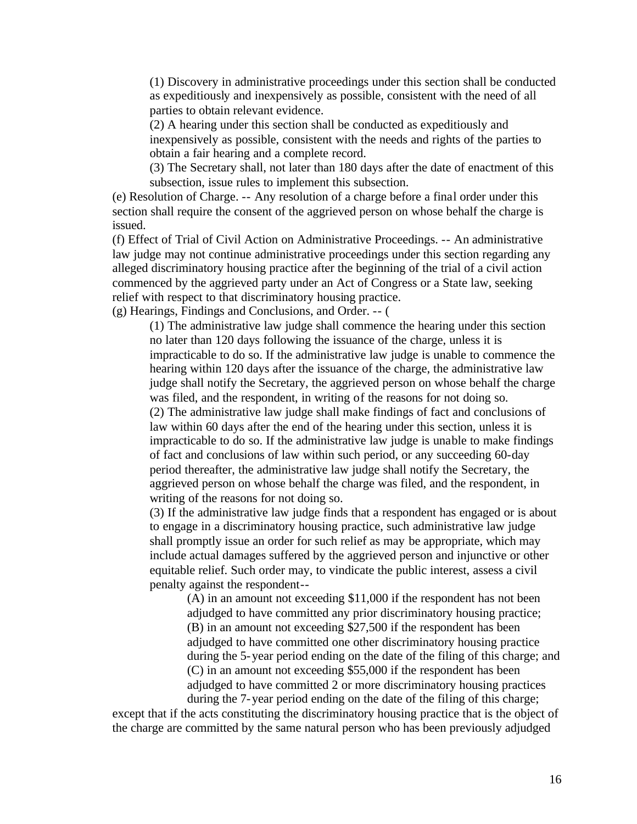(1) Discovery in administrative proceedings under this section shall be conducted as expeditiously and inexpensively as possible, consistent with the need of all parties to obtain relevant evidence.

(2) A hearing under this section shall be conducted as expeditiously and inexpensively as possible, consistent with the needs and rights of the parties to obtain a fair hearing and a complete record.

(3) The Secretary shall, not later than 180 days after the date of enactment of this subsection, issue rules to implement this subsection.

(e) Resolution of Charge. -- Any resolution of a charge before a final order under this section shall require the consent of the aggrieved person on whose behalf the charge is issued.

(f) Effect of Trial of Civil Action on Administrative Proceedings. -- An administrative law judge may not continue administrative proceedings under this section regarding any alleged discriminatory housing practice after the beginning of the trial of a civil action commenced by the aggrieved party under an Act of Congress or a State law, seeking relief with respect to that discriminatory housing practice.

(g) Hearings, Findings and Conclusions, and Order. -- (

(1) The administrative law judge shall commence the hearing under this section no later than 120 days following the issuance of the charge, unless it is impracticable to do so. If the administrative law judge is unable to commence the hearing within 120 days after the issuance of the charge, the administrative law judge shall notify the Secretary, the aggrieved person on whose behalf the charge was filed, and the respondent, in writing of the reasons for not doing so. (2) The administrative law judge shall make findings of fact and conclusions of law within 60 days after the end of the hearing under this section, unless it is impracticable to do so. If the administrative law judge is unable to make findings of fact and conclusions of law within such period, or any succeeding 60-day period thereafter, the administrative law judge shall notify the Secretary, the aggrieved person on whose behalf the charge was filed, and the respondent, in writing of the reasons for not doing so.

(3) If the administrative law judge finds that a respondent has engaged or is about to engage in a discriminatory housing practice, such administrative law judge shall promptly issue an order for such relief as may be appropriate, which may include actual damages suffered by the aggrieved person and injunctive or other equitable relief. Such order may, to vindicate the public interest, assess a civil penalty against the respondent--

(A) in an amount not exceeding \$11,000 if the respondent has not been adjudged to have committed any prior discriminatory housing practice; (B) in an amount not exceeding \$27,500 if the respondent has been adjudged to have committed one other discriminatory housing practice during the 5-year period ending on the date of the filing of this charge; and (C) in an amount not exceeding \$55,000 if the respondent has been adjudged to have committed 2 or more discriminatory housing practices during the 7-year period ending on the date of the filing of this charge;

except that if the acts constituting the discriminatory housing practice that is the object of the charge are committed by the same natural person who has been previously adjudged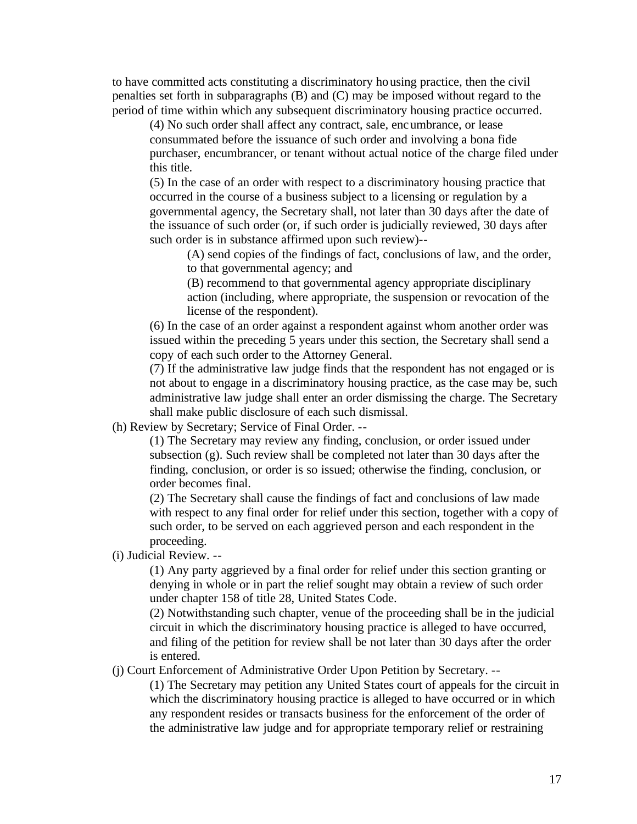to have committed acts constituting a discriminatory housing practice, then the civil penalties set forth in subparagraphs (B) and (C) may be imposed without regard to the period of time within which any subsequent discriminatory housing practice occurred.

(4) No such order shall affect any contract, sale, encumbrance, or lease consummated before the issuance of such order and involving a bona fide purchaser, encumbrancer, or tenant without actual notice of the charge filed under this title.

(5) In the case of an order with respect to a discriminatory housing practice that occurred in the course of a business subject to a licensing or regulation by a governmental agency, the Secretary shall, not later than 30 days after the date of the issuance of such order (or, if such order is judicially reviewed, 30 days after such order is in substance affirmed upon such review)--

(A) send copies of the findings of fact, conclusions of law, and the order, to that governmental agency; and

(B) recommend to that governmental agency appropriate disciplinary action (including, where appropriate, the suspension or revocation of the license of the respondent).

(6) In the case of an order against a respondent against whom another order was issued within the preceding 5 years under this section, the Secretary shall send a copy of each such order to the Attorney General.

(7) If the administrative law judge finds that the respondent has not engaged or is not about to engage in a discriminatory housing practice, as the case may be, such administrative law judge shall enter an order dismissing the charge. The Secretary shall make public disclosure of each such dismissal.

(h) Review by Secretary; Service of Final Order. --

(1) The Secretary may review any finding, conclusion, or order issued under subsection (g). Such review shall be completed not later than 30 days after the finding, conclusion, or order is so issued; otherwise the finding, conclusion, or order becomes final.

(2) The Secretary shall cause the findings of fact and conclusions of law made with respect to any final order for relief under this section, together with a copy of such order, to be served on each aggrieved person and each respondent in the proceeding.

(i) Judicial Review. --

(1) Any party aggrieved by a final order for relief under this section granting or denying in whole or in part the relief sought may obtain a review of such order under chapter 158 of title 28, United States Code.

(2) Notwithstanding such chapter, venue of the proceeding shall be in the judicial circuit in which the discriminatory housing practice is alleged to have occurred, and filing of the petition for review shall be not later than 30 days after the order is entered.

(j) Court Enforcement of Administrative Order Upon Petition by Secretary. --

(1) The Secretary may petition any United States court of appeals for the circuit in which the discriminatory housing practice is alleged to have occurred or in which any respondent resides or transacts business for the enforcement of the order of the administrative law judge and for appropriate temporary relief or restraining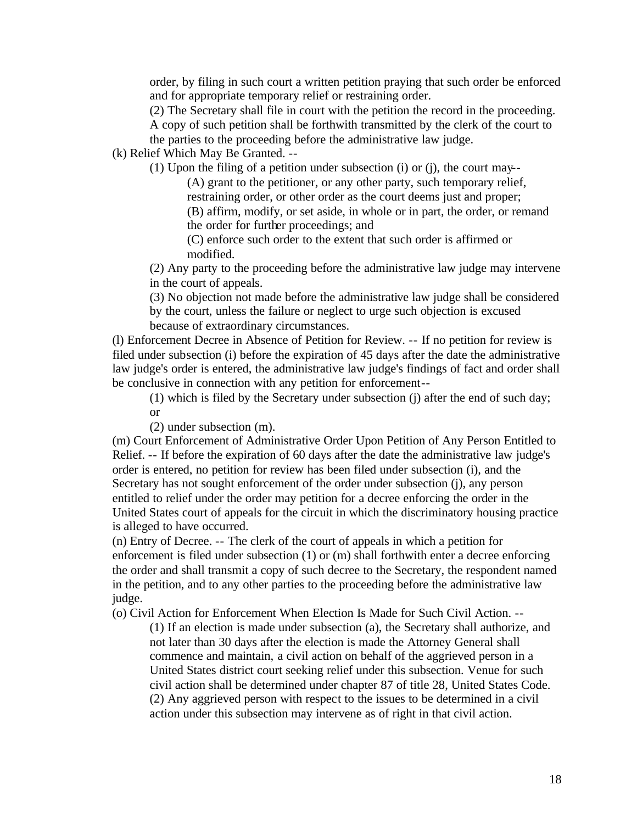order, by filing in such court a written petition praying that such order be enforced and for appropriate temporary relief or restraining order.

(2) The Secretary shall file in court with the petition the record in the proceeding. A copy of such petition shall be forthwith transmitted by the clerk of the court to

the parties to the proceeding before the administrative law judge.

(k) Relief Which May Be Granted. --

(1) Upon the filing of a petition under subsection (i) or (j), the court may--

(A) grant to the petitioner, or any other party, such temporary relief,

restraining order, or other order as the court deems just and proper;

(B) affirm, modify, or set aside, in whole or in part, the order, or remand the order for further proceedings; and

(C) enforce such order to the extent that such order is affirmed or modified.

(2) Any party to the proceeding before the administrative law judge may intervene in the court of appeals.

(3) No objection not made before the administrative law judge shall be considered by the court, unless the failure or neglect to urge such objection is excused because of extraordinary circumstances.

(l) Enforcement Decree in Absence of Petition for Review. -- If no petition for review is filed under subsection (i) before the expiration of 45 days after the date the administrative law judge's order is entered, the administrative law judge's findings of fact and order shall be conclusive in connection with any petition for enforcement--

(1) which is filed by the Secretary under subsection (j) after the end of such day;

or

(2) under subsection (m).

(m) Court Enforcement of Administrative Order Upon Petition of Any Person Entitled to Relief. -- If before the expiration of 60 days after the date the administrative law judge's order is entered, no petition for review has been filed under subsection (i), and the Secretary has not sought enforcement of the order under subsection (j), any person entitled to relief under the order may petition for a decree enforcing the order in the United States court of appeals for the circuit in which the discriminatory housing practice is alleged to have occurred.

(n) Entry of Decree. -- The clerk of the court of appeals in which a petition for enforcement is filed under subsection (1) or (m) shall forthwith enter a decree enforcing the order and shall transmit a copy of such decree to the Secretary, the respondent named in the petition, and to any other parties to the proceeding before the administrative law judge.

(o) Civil Action for Enforcement When Election Is Made for Such Civil Action. --

(1) If an election is made under subsection (a), the Secretary shall authorize, and not later than 30 days after the election is made the Attorney General shall commence and maintain, a civil action on behalf of the aggrieved person in a United States district court seeking relief under this subsection. Venue for such civil action shall be determined under chapter 87 of title 28, United States Code. (2) Any aggrieved person with respect to the issues to be determined in a civil action under this subsection may intervene as of right in that civil action.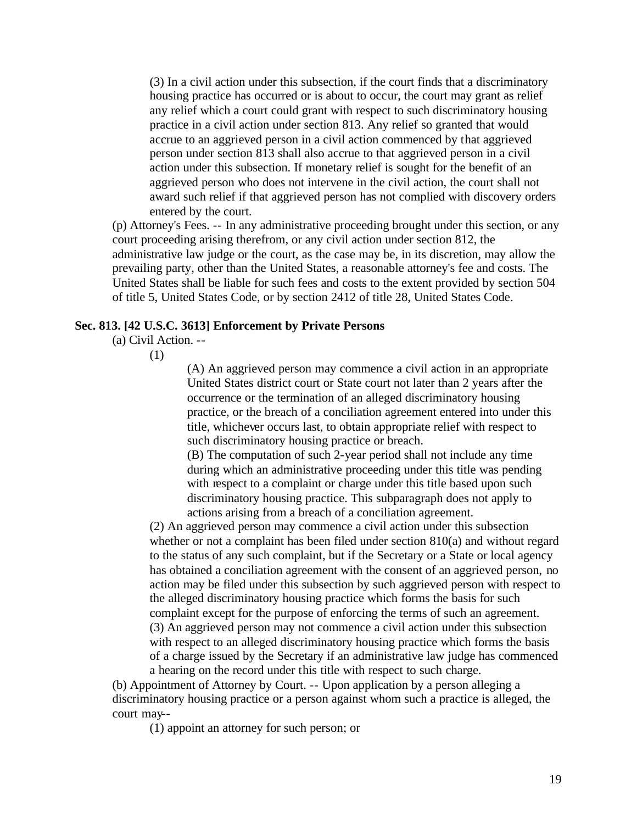(3) In a civil action under this subsection, if the court finds that a discriminatory housing practice has occurred or is about to occur, the court may grant as relief any relief which a court could grant with respect to such discriminatory housing practice in a civil action under section 813. Any relief so granted that would accrue to an aggrieved person in a civil action commenced by that aggrieved person under section 813 shall also accrue to that aggrieved person in a civil action under this subsection. If monetary relief is sought for the benefit of an aggrieved person who does not intervene in the civil action, the court shall not award such relief if that aggrieved person has not complied with discovery orders entered by the court.

(p) Attorney's Fees. -- In any administrative proceeding brought under this section, or any court proceeding arising therefrom, or any civil action under section 812, the administrative law judge or the court, as the case may be, in its discretion, may allow the prevailing party, other than the United States, a reasonable attorney's fee and costs. The United States shall be liable for such fees and costs to the extent provided by section 504 of title 5, United States Code, or by section 2412 of title 28, United States Code.

### **Sec. 813. [42 U.S.C. 3613] Enforcement by Private Persons**

(a) Civil Action. --

(1)

(A) An aggrieved person may commence a civil action in an appropriate United States district court or State court not later than 2 years after the occurrence or the termination of an alleged discriminatory housing practice, or the breach of a conciliation agreement entered into under this title, whichever occurs last, to obtain appropriate relief with respect to such discriminatory housing practice or breach.

(B) The computation of such 2-year period shall not include any time during which an administrative proceeding under this title was pending with respect to a complaint or charge under this title based upon such discriminatory housing practice. This subparagraph does not apply to actions arising from a breach of a conciliation agreement.

(2) An aggrieved person may commence a civil action under this subsection whether or not a complaint has been filed under section 810(a) and without regard to the status of any such complaint, but if the Secretary or a State or local agency has obtained a conciliation agreement with the consent of an aggrieved person, no action may be filed under this subsection by such aggrieved person with respect to the alleged discriminatory housing practice which forms the basis for such complaint except for the purpose of enforcing the terms of such an agreement. (3) An aggrieved person may not commence a civil action under this subsection with respect to an alleged discriminatory housing practice which forms the basis of a charge issued by the Secretary if an administrative law judge has commenced a hearing on the record under this title with respect to such charge.

(b) Appointment of Attorney by Court. -- Upon application by a person alleging a discriminatory housing practice or a person against whom such a practice is alleged, the court may--

(1) appoint an attorney for such person; or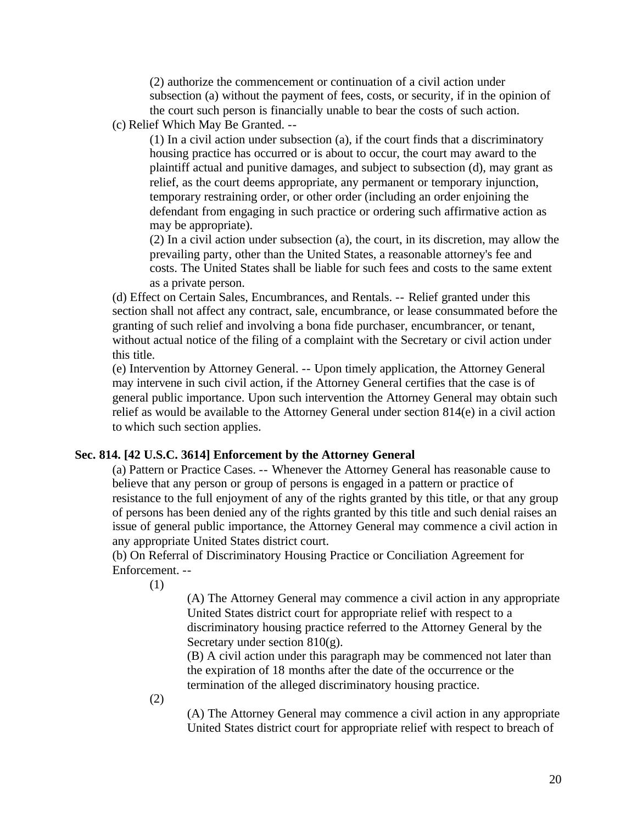(2) authorize the commencement or continuation of a civil action under subsection (a) without the payment of fees, costs, or security, if in the opinion of the court such person is financially unable to bear the costs of such action. (c) Relief Which May Be Granted. --

(1) In a civil action under subsection (a), if the court finds that a discriminatory housing practice has occurred or is about to occur, the court may award to the plaintiff actual and punitive damages, and subject to subsection (d), may grant as relief, as the court deems appropriate, any permanent or temporary injunction, temporary restraining order, or other order (including an order enjoining the defendant from engaging in such practice or ordering such affirmative action as may be appropriate).

(2) In a civil action under subsection (a), the court, in its discretion, may allow the prevailing party, other than the United States, a reasonable attorney's fee and costs. The United States shall be liable for such fees and costs to the same extent as a private person.

(d) Effect on Certain Sales, Encumbrances, and Rentals. -- Relief granted under this section shall not affect any contract, sale, encumbrance, or lease consummated before the granting of such relief and involving a bona fide purchaser, encumbrancer, or tenant, without actual notice of the filing of a complaint with the Secretary or civil action under this title.

(e) Intervention by Attorney General. -- Upon timely application, the Attorney General may intervene in such civil action, if the Attorney General certifies that the case is of general public importance. Upon such intervention the Attorney General may obtain such relief as would be available to the Attorney General under section 814(e) in a civil action to which such section applies.

### **Sec. 814. [42 U.S.C. 3614] Enforcement by the Attorney General**

(a) Pattern or Practice Cases. -- Whenever the Attorney General has reasonable cause to believe that any person or group of persons is engaged in a pattern or practice of resistance to the full enjoyment of any of the rights granted by this title, or that any group of persons has been denied any of the rights granted by this title and such denial raises an issue of general public importance, the Attorney General may commence a civil action in any appropriate United States district court.

(b) On Referral of Discriminatory Housing Practice or Conciliation Agreement for Enforcement. --

(1)

(A) The Attorney General may commence a civil action in any appropriate United States district court for appropriate relief with respect to a discriminatory housing practice referred to the Attorney General by the Secretary under section 810(g).

(B) A civil action under this paragraph may be commenced not later than the expiration of 18 months after the date of the occurrence or the termination of the alleged discriminatory housing practice.

(2)

(A) The Attorney General may commence a civil action in any appropriate United States district court for appropriate relief with respect to breach of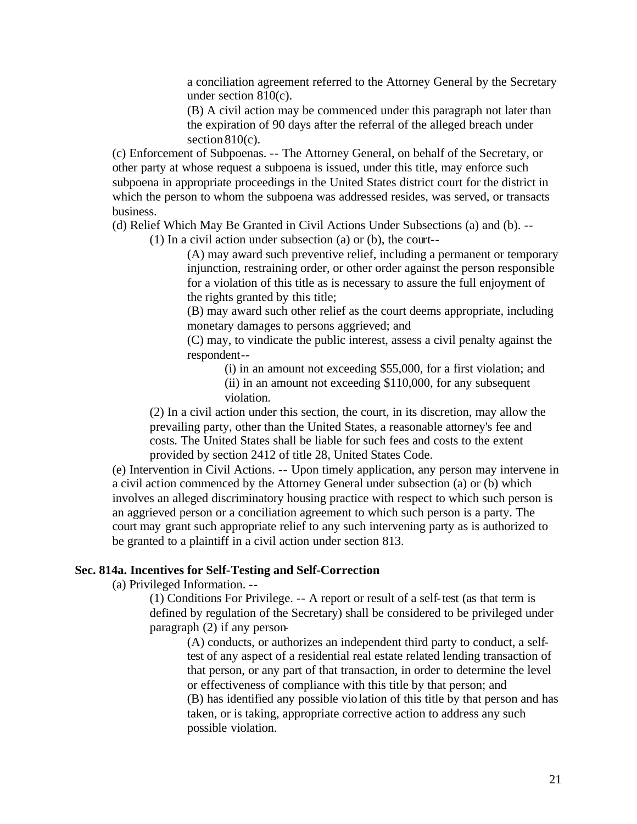a conciliation agreement referred to the Attorney General by the Secretary under section 810(c).

(B) A civil action may be commenced under this paragraph not later than the expiration of 90 days after the referral of the alleged breach under section 810(c).

(c) Enforcement of Subpoenas. -- The Attorney General, on behalf of the Secretary, or other party at whose request a subpoena is issued, under this title, may enforce such subpoena in appropriate proceedings in the United States district court for the district in which the person to whom the subpoena was addressed resides, was served, or transacts business.

(d) Relief Which May Be Granted in Civil Actions Under Subsections (a) and (b). --

(1) In a civil action under subsection (a) or (b), the court--

(A) may award such preventive relief, including a permanent or temporary injunction, restraining order, or other order against the person responsible for a violation of this title as is necessary to assure the full enjoyment of the rights granted by this title;

(B) may award such other relief as the court deems appropriate, including monetary damages to persons aggrieved; and

(C) may, to vindicate the public interest, assess a civil penalty against the respondent--

(i) in an amount not exceeding \$55,000, for a first violation; and

(ii) in an amount not exceeding \$110,000, for any subsequent violation.

(2) In a civil action under this section, the court, in its discretion, may allow the prevailing party, other than the United States, a reasonable attorney's fee and costs. The United States shall be liable for such fees and costs to the extent provided by section 2412 of title 28, United States Code.

(e) Intervention in Civil Actions. -- Upon timely application, any person may intervene in a civil action commenced by the Attorney General under subsection (a) or (b) which involves an alleged discriminatory housing practice with respect to which such person is an aggrieved person or a conciliation agreement to which such person is a party. The court may grant such appropriate relief to any such intervening party as is authorized to be granted to a plaintiff in a civil action under section 813.

#### **Sec. 814a. Incentives for Self-Testing and Self-Correction**

(a) Privileged Information. --

(1) Conditions For Privilege. -- A report or result of a self-test (as that term is defined by regulation of the Secretary) shall be considered to be privileged under paragraph (2) if any person-

(A) conducts, or authorizes an independent third party to conduct, a selftest of any aspect of a residential real estate related lending transaction of that person, or any part of that transaction, in order to determine the level or effectiveness of compliance with this title by that person; and (B) has identified any possible violation of this title by that person and has taken, or is taking, appropriate corrective action to address any such possible violation.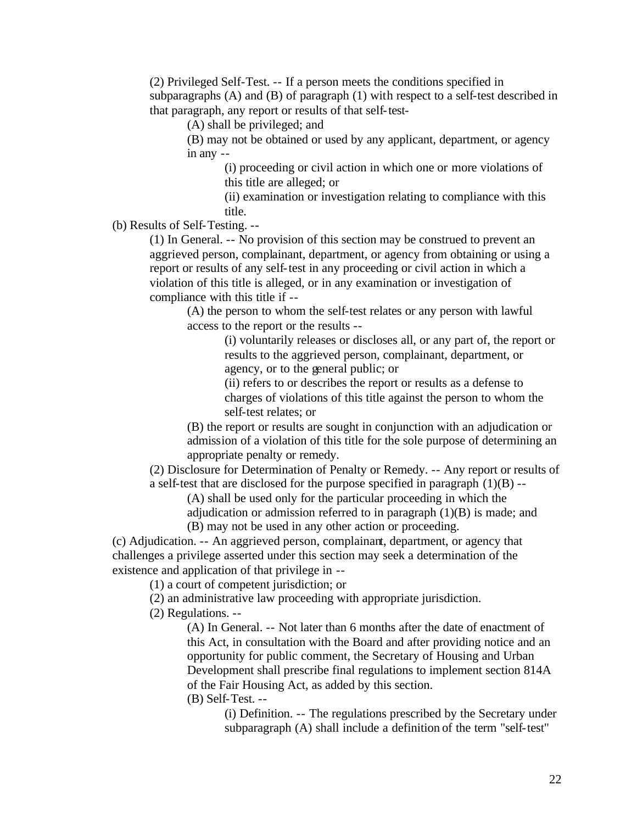(2) Privileged Self-Test. -- If a person meets the conditions specified in subparagraphs (A) and (B) of paragraph (1) with respect to a self-test described in that paragraph, any report or results of that self-test-

(A) shall be privileged; and

(B) may not be obtained or used by any applicant, department, or agency in any --

> (i) proceeding or civil action in which one or more violations of this title are alleged; or

> (ii) examination or investigation relating to compliance with this title.

(b) Results of Self-Testing. --

(1) In General. -- No provision of this section may be construed to prevent an aggrieved person, complainant, department, or agency from obtaining or using a report or results of any self-test in any proceeding or civil action in which a violation of this title is alleged, or in any examination or investigation of compliance with this title if --

(A) the person to whom the self-test relates or any person with lawful access to the report or the results --

> (i) voluntarily releases or discloses all, or any part of, the report or results to the aggrieved person, complainant, department, or agency, or to the general public; or

(ii) refers to or describes the report or results as a defense to charges of violations of this title against the person to whom the self-test relates; or

(B) the report or results are sought in conjunction with an adjudication or admission of a violation of this title for the sole purpose of determining an appropriate penalty or remedy.

(2) Disclosure for Determination of Penalty or Remedy. -- Any report or results of a self-test that are disclosed for the purpose specified in paragraph (1)(B) --

(A) shall be used only for the particular proceeding in which the

adjudication or admission referred to in paragraph (1)(B) is made; and (B) may not be used in any other action or proceeding.

(c) Adjudication. -- An aggrieved person, complainant, department, or agency that challenges a privilege asserted under this section may seek a determination of the existence and application of that privilege in --

(1) a court of competent jurisdiction; or

(2) an administrative law proceeding with appropriate jurisdiction.

(2) Regulations. --

(A) In General. -- Not later than 6 months after the date of enactment of this Act, in consultation with the Board and after providing notice and an opportunity for public comment, the Secretary of Housing and Urban Development shall prescribe final regulations to implement section 814A of the Fair Housing Act, as added by this section. (B) Self-Test. --

(i) Definition. -- The regulations prescribed by the Secretary under subparagraph (A) shall include a definition of the term "self-test"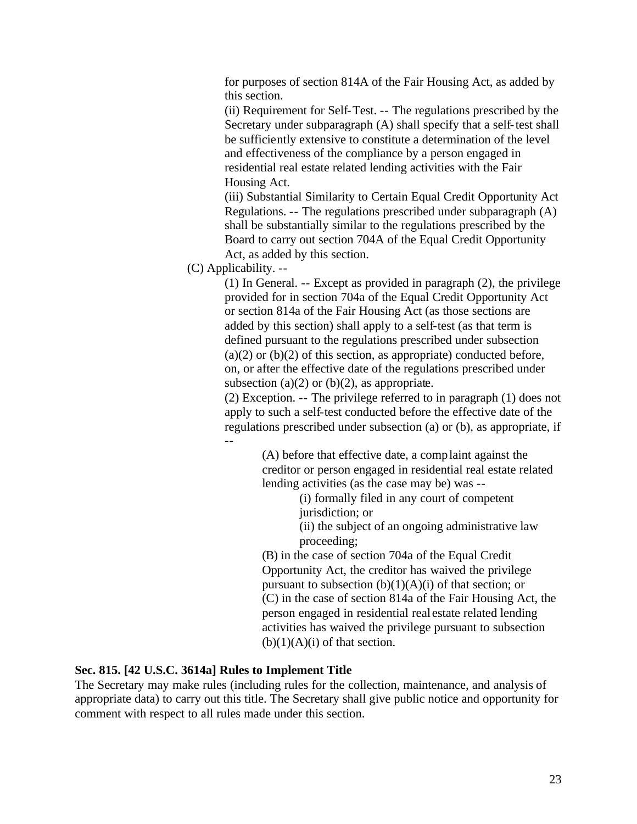for purposes of section 814A of the Fair Housing Act, as added by this section.

(ii) Requirement for Self-Test. -- The regulations prescribed by the Secretary under subparagraph (A) shall specify that a self-test shall be sufficiently extensive to constitute a determination of the level and effectiveness of the compliance by a person engaged in residential real estate related lending activities with the Fair Housing Act.

(iii) Substantial Similarity to Certain Equal Credit Opportunity Act Regulations. -- The regulations prescribed under subparagraph (A) shall be substantially similar to the regulations prescribed by the Board to carry out section 704A of the Equal Credit Opportunity Act, as added by this section.

(C) Applicability. --

(1) In General. -- Except as provided in paragraph (2), the privilege provided for in section 704a of the Equal Credit Opportunity Act or section 814a of the Fair Housing Act (as those sections are added by this section) shall apply to a self-test (as that term is defined pursuant to the regulations prescribed under subsection  $(a)(2)$  or  $(b)(2)$  of this section, as appropriate) conducted before, on, or after the effective date of the regulations prescribed under subsection (a) $(2)$  or (b) $(2)$ , as appropriate.

(2) Exception. -- The privilege referred to in paragraph (1) does not apply to such a self-test conducted before the effective date of the regulations prescribed under subsection (a) or (b), as appropriate, if --

> (A) before that effective date, a complaint against the creditor or person engaged in residential real estate related lending activities (as the case may be) was --

(i) formally filed in any court of competent jurisdiction; or

(ii) the subject of an ongoing administrative law proceeding;

(B) in the case of section 704a of the Equal Credit Opportunity Act, the creditor has waived the privilege pursuant to subsection  $(b)(1)(A)(i)$  of that section; or (C) in the case of section 814a of the Fair Housing Act, the person engaged in residential real estate related lending activities has waived the privilege pursuant to subsection  $(b)(1)(A)(i)$  of that section.

### **Sec. 815. [42 U.S.C. 3614a] Rules to Implement Title**

The Secretary may make rules (including rules for the collection, maintenance, and analysis of appropriate data) to carry out this title. The Secretary shall give public notice and opportunity for comment with respect to all rules made under this section.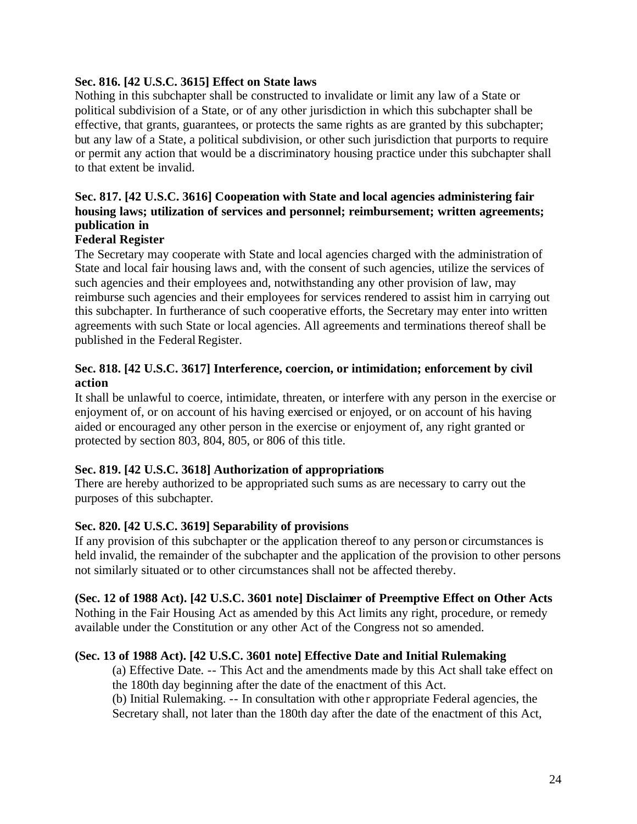## **Sec. 816. [42 U.S.C. 3615] Effect on State laws**

Nothing in this subchapter shall be constructed to invalidate or limit any law of a State or political subdivision of a State, or of any other jurisdiction in which this subchapter shall be effective, that grants, guarantees, or protects the same rights as are granted by this subchapter; but any law of a State, a political subdivision, or other such jurisdiction that purports to require or permit any action that would be a discriminatory housing practice under this subchapter shall to that extent be invalid.

# **Sec. 817. [42 U.S.C. 3616] Cooperation with State and local agencies administering fair housing laws; utilization of services and personnel; reimbursement; written agreements; publication in**

## **Federal Register**

The Secretary may cooperate with State and local agencies charged with the administration of State and local fair housing laws and, with the consent of such agencies, utilize the services of such agencies and their employees and, notwithstanding any other provision of law, may reimburse such agencies and their employees for services rendered to assist him in carrying out this subchapter. In furtherance of such cooperative efforts, the Secretary may enter into written agreements with such State or local agencies. All agreements and terminations thereof shall be published in the Federal Register.

# **Sec. 818. [42 U.S.C. 3617] Interference, coercion, or intimidation; enforcement by civil action**

It shall be unlawful to coerce, intimidate, threaten, or interfere with any person in the exercise or enjoyment of, or on account of his having exercised or enjoyed, or on account of his having aided or encouraged any other person in the exercise or enjoyment of, any right granted or protected by section 803, 804, 805, or 806 of this title.

# **Sec. 819. [42 U.S.C. 3618] Authorization of appropriations**

There are hereby authorized to be appropriated such sums as are necessary to carry out the purposes of this subchapter.

# **Sec. 820. [42 U.S.C. 3619] Separability of provisions**

If any provision of this subchapter or the application thereof to any person or circumstances is held invalid, the remainder of the subchapter and the application of the provision to other persons not similarly situated or to other circumstances shall not be affected thereby.

# **(Sec. 12 of 1988 Act). [42 U.S.C. 3601 note] Disclaimer of Preemptive Effect on Other Acts**

Nothing in the Fair Housing Act as amended by this Act limits any right, procedure, or remedy available under the Constitution or any other Act of the Congress not so amended.

# **(Sec. 13 of 1988 Act). [42 U.S.C. 3601 note] Effective Date and Initial Rulemaking**

(a) Effective Date. -- This Act and the amendments made by this Act shall take effect on the 180th day beginning after the date of the enactment of this Act.

(b) Initial Rulemaking. -- In consultation with othe r appropriate Federal agencies, the Secretary shall, not later than the 180th day after the date of the enactment of this Act,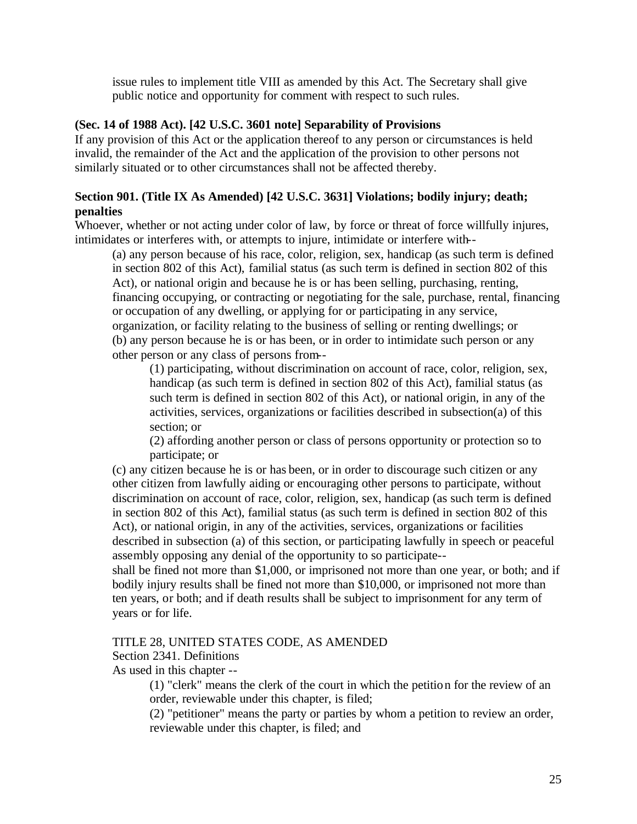issue rules to implement title VIII as amended by this Act. The Secretary shall give public notice and opportunity for comment with respect to such rules.

## **(Sec. 14 of 1988 Act). [42 U.S.C. 3601 note] Separability of Provisions**

If any provision of this Act or the application thereof to any person or circumstances is held invalid, the remainder of the Act and the application of the provision to other persons not similarly situated or to other circumstances shall not be affected thereby.

# **Section 901. (Title IX As Amended) [42 U.S.C. 3631] Violations; bodily injury; death; penalties**

Whoever, whether or not acting under color of law, by force or threat of force willfully injures, intimidates or interferes with, or attempts to injure, intimidate or interfere with--

(a) any person because of his race, color, religion, sex, handicap (as such term is defined in section 802 of this Act), familial status (as such term is defined in section 802 of this Act), or national origin and because he is or has been selling, purchasing, renting, financing occupying, or contracting or negotiating for the sale, purchase, rental, financing or occupation of any dwelling, or applying for or participating in any service, organization, or facility relating to the business of selling or renting dwellings; or (b) any person because he is or has been, or in order to intimidate such person or any other person or any class of persons from--

(1) participating, without discrimination on account of race, color, religion, sex, handicap (as such term is defined in section 802 of this Act), familial status (as such term is defined in section 802 of this Act), or national origin, in any of the activities, services, organizations or facilities described in subsection(a) of this section; or

(2) affording another person or class of persons opportunity or protection so to participate; or

(c) any citizen because he is or has been, or in order to discourage such citizen or any other citizen from lawfully aiding or encouraging other persons to participate, without discrimination on account of race, color, religion, sex, handicap (as such term is defined in section 802 of this Act), familial status (as such term is defined in section 802 of this Act), or national origin, in any of the activities, services, organizations or facilities described in subsection (a) of this section, or participating lawfully in speech or peaceful assembly opposing any denial of the opportunity to so participate--

shall be fined not more than \$1,000, or imprisoned not more than one year, or both; and if bodily injury results shall be fined not more than \$10,000, or imprisoned not more than ten years, or both; and if death results shall be subject to imprisonment for any term of years or for life.

# TITLE 28, UNITED STATES CODE, AS AMENDED

Section 2341. Definitions

As used in this chapter --

(1) "clerk" means the clerk of the court in which the petition for the review of an order, reviewable under this chapter, is filed;

(2) "petitioner" means the party or parties by whom a petition to review an order, reviewable under this chapter, is filed; and